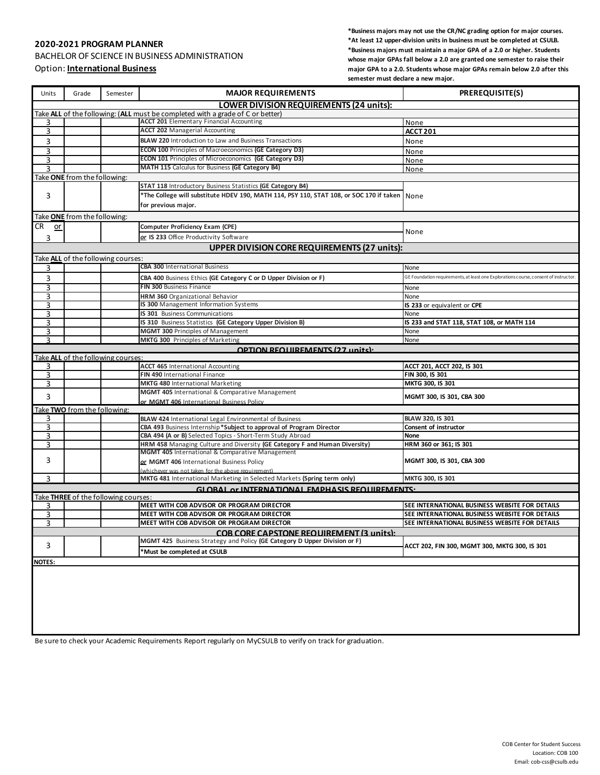## **2020-2021 PROGRAM PLANNER**

BACHELOR OF SCIENCE IN BUSINESS ADMINISTRATION

Option: **International Business**

**\*Business majors may not use the CR/NC grading option for major courses. \*At least 12 upper-division units in business must be completed at CSULB. \*Business majors must maintain a major GPA of a 2.0 or higher. Students whose major GPAs fall below a 2.0 are granted one semester to raise their major GPA to a 2.0. Students whose major GPAs remain below 2.0 after this semester must declare a new major.**

| Units                                                                          | Grade                               | Semester                             | <b>MAJOR REQUIREMENTS</b>                                                                                                                | <b>PREREQUISITE(S)</b>                                                               |  |
|--------------------------------------------------------------------------------|-------------------------------------|--------------------------------------|------------------------------------------------------------------------------------------------------------------------------------------|--------------------------------------------------------------------------------------|--|
| <b>LOWER DIVISION REQUIREMENTS (24 units):</b>                                 |                                     |                                      |                                                                                                                                          |                                                                                      |  |
| Take ALL of the following: (ALL must be completed with a grade of C or better) |                                     |                                      |                                                                                                                                          |                                                                                      |  |
| 3                                                                              |                                     |                                      | <b>ACCT 201</b> Elementary Financial Accounting                                                                                          | None                                                                                 |  |
| 3                                                                              |                                     |                                      | <b>ACCT 202 Managerial Accounting</b>                                                                                                    | <b>ACCT 201</b>                                                                      |  |
| 3                                                                              |                                     |                                      | <b>BLAW 220</b> Introduction to Law and Business Transactions                                                                            | None                                                                                 |  |
| 3                                                                              |                                     |                                      | <b>ECON 100 Principles of Macroeconomics (GE Category D3)</b>                                                                            | None                                                                                 |  |
| 3                                                                              |                                     |                                      | ECON 101 Principles of Microeconomics (GE Category D3)<br>MATH 115 Calculus for Business (GE Category B4)                                | None                                                                                 |  |
| 3                                                                              | Take ONE from the following:        |                                      |                                                                                                                                          | None                                                                                 |  |
|                                                                                |                                     |                                      | <b>STAT 118 Introductory Business Statistics (GE Category B4)</b>                                                                        |                                                                                      |  |
| 3                                                                              |                                     |                                      | *The College will substitute HDEV 190, MATH 114, PSY 110, STAT 108, or SOC 170 if taken   None                                           |                                                                                      |  |
|                                                                                |                                     |                                      | for previous major.                                                                                                                      |                                                                                      |  |
|                                                                                |                                     |                                      |                                                                                                                                          |                                                                                      |  |
| $CR$ or                                                                        | Take <b>ONE</b> from the following: |                                      | Computer Proficiency Exam (CPE)                                                                                                          |                                                                                      |  |
|                                                                                |                                     |                                      |                                                                                                                                          | None                                                                                 |  |
| 3                                                                              |                                     |                                      | or IS 233 Office Productivity Software                                                                                                   |                                                                                      |  |
| <b>UPPER DIVISION CORE REQUIREMENTS (27 units):</b>                            |                                     |                                      |                                                                                                                                          |                                                                                      |  |
| Take ALL of the following courses:                                             |                                     |                                      |                                                                                                                                          |                                                                                      |  |
| з                                                                              |                                     |                                      | <b>CBA 300 International Business</b>                                                                                                    | None                                                                                 |  |
| 3                                                                              |                                     |                                      | CBA 400 Business Ethics (GE Category C or D Upper Division or F)                                                                         | GE Foundation requirements, at least one Explorations course, consent of instructor. |  |
| 3                                                                              |                                     |                                      | FIN 300 Business Finance                                                                                                                 | None                                                                                 |  |
| 3                                                                              |                                     |                                      | HRM 360 Organizational Behavior                                                                                                          | None                                                                                 |  |
| 3                                                                              |                                     |                                      | IS 300 Management Information Systems                                                                                                    | IS 233 or equivalent or CPE                                                          |  |
| 3                                                                              |                                     |                                      | IS 301 Business Communications                                                                                                           | None<br>IS 233 and STAT 118, STAT 108, or MATH 114                                   |  |
| 3<br>3                                                                         |                                     |                                      | IS 310 Business Statistics (GE Category Upper Division B)<br><b>MGMT 300 Principles of Management</b>                                    | None                                                                                 |  |
| ς                                                                              |                                     |                                      | <b>MKTG 300</b> Principles of Marketing                                                                                                  | None                                                                                 |  |
|                                                                                |                                     |                                      | OPTION REQUIREMENTS (27 units):                                                                                                          |                                                                                      |  |
|                                                                                |                                     | Take ALL of the following courses:   |                                                                                                                                          |                                                                                      |  |
| 3                                                                              |                                     |                                      | <b>ACCT 465 International Accounting</b>                                                                                                 | ACCT 201, ACCT 202, IS 301                                                           |  |
| 3                                                                              |                                     |                                      | FIN 490 International Finance                                                                                                            | FIN 300, IS 301                                                                      |  |
| 3                                                                              |                                     |                                      | <b>MKTG 480 International Marketing</b>                                                                                                  | MKTG 300, IS 301                                                                     |  |
| 3                                                                              |                                     |                                      | MGMT 405 International & Comparative Management                                                                                          | MGMT 300, IS 301, CBA 300                                                            |  |
|                                                                                |                                     |                                      | or MGMT 406 International Business Policy                                                                                                |                                                                                      |  |
| Take TWO from the following:                                                   |                                     |                                      |                                                                                                                                          |                                                                                      |  |
| 3                                                                              |                                     |                                      | <b>BLAW 424</b> International Legal Environmental of Business                                                                            | BLAW 320, IS 301                                                                     |  |
| 3                                                                              |                                     |                                      | CBA 493 Business Internship*Subject to approval of Program Director                                                                      | Consent of instructor                                                                |  |
| 3<br>3                                                                         |                                     |                                      | CBA 494 (A or B) Selected Topics - Short-Term Study Abroad<br>HRM 458 Managing Culture and Diversity (GE Category F and Human Diversity) | <b>None</b><br>HRM 360 or 361; IS 301                                                |  |
|                                                                                |                                     |                                      | MGMT 405 International & Comparative Management                                                                                          |                                                                                      |  |
| 3                                                                              |                                     |                                      | or MGMT 406 International Business Policy                                                                                                | MGMT 300, IS 301, CBA 300                                                            |  |
|                                                                                |                                     |                                      | (whichever was not taken for the above requirement)                                                                                      |                                                                                      |  |
| 3                                                                              |                                     |                                      | MKTG 481 International Marketing in Selected Markets (Spring term only)                                                                  | MKTG 300, IS 301                                                                     |  |
|                                                                                |                                     |                                      | GLOBAL OF INTERNATIONAL EMPHASIS REQUIREMENTS:                                                                                           |                                                                                      |  |
|                                                                                |                                     | Take THREE of the following courses: |                                                                                                                                          |                                                                                      |  |
| 3                                                                              |                                     |                                      | MEET WITH COB ADVISOR OR PROGRAM DIRECTOR                                                                                                | SEE INTERNATIONAL BUSINESS WEBSITE FOR DETAILS                                       |  |
| 3                                                                              |                                     |                                      | MEET WITH COB ADVISOR OR PROGRAM DIRECTOR                                                                                                | SEE INTERNATIONAL BUSINESS WEBSITE FOR DETAILS                                       |  |
| 3                                                                              |                                     |                                      | MEET WITH COB ADVISOR OR PROGRAM DIRECTOR                                                                                                | SEE INTERNATIONAL BUSINESS WEBSITE FOR DETAILS                                       |  |
| COB CORE CAPSTONE REQUIREMENT (3 units):                                       |                                     |                                      |                                                                                                                                          |                                                                                      |  |
| 3                                                                              |                                     |                                      | MGMT 425 Business Strategy and Policy (GE Category D Upper Division or F)<br>*Must be completed at CSULB                                 | ACCT 202, FIN 300, MGMT 300, MKTG 300, IS 301                                        |  |
| <b>NOTES:</b>                                                                  |                                     |                                      |                                                                                                                                          |                                                                                      |  |
|                                                                                |                                     |                                      |                                                                                                                                          |                                                                                      |  |

Be sure to check your Academic Requirements Report regularly on MyCSULB to verify on track for graduation.